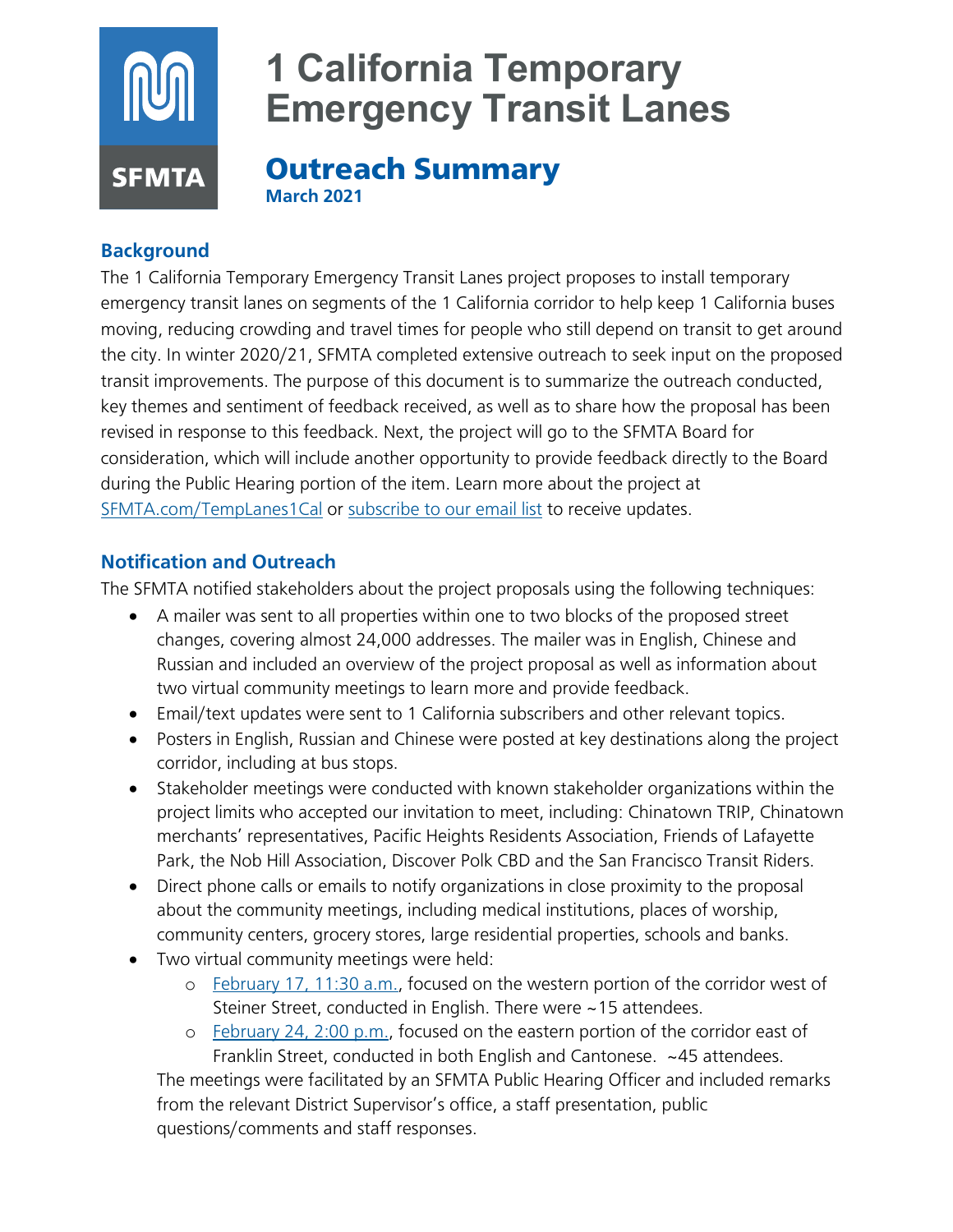

# **Background**

The 1 California Temporary Emergency Transit Lanes project proposes to install temporary emergency transit lanes on segments of the 1 California corridor to help keep 1 California buses moving, reducing crowding and travel times for people who still depend on transit to get around the city. In winter 2020/21, SFMTA completed extensive outreach to seek input on the proposed transit improvements. The purpose of this document is to summarize the outreach conducted, key themes and sentiment of feedback received, as well as to share how the proposal has been revised in response to this feedback. Next, the project will go to the SFMTA Board for consideration, which will include another opportunity to provide feedback directly to the Board during the Public Hearing portion of the item. Learn more about the project at [SFMTA.com/TempLanes1Cal](http://www.sfmta.com/TempLanes1Cal) or [subscribe to our email list](https://www.sfmta.com/signup-alerts?sfid=701t0000000G9EpAAK) to receive updates.

## **Notification and Outreach**

The SFMTA notified stakeholders about the project proposals using the following techniques:

- A mailer was sent to all properties within one to two blocks of the proposed street changes, covering almost 24,000 addresses. The mailer was in English, Chinese and Russian and included an overview of the project proposal as well as information about two virtual community meetings to learn more and provide feedback.
- Email/text updates were sent to 1 California subscribers and other relevant topics.
- Posters in English, Russian and Chinese were posted at key destinations along the project corridor, including at bus stops.
- Stakeholder meetings were conducted with known stakeholder organizations within the project limits who accepted our invitation to meet, including: Chinatown TRIP, Chinatown merchants' representatives, Pacific Heights Residents Association, Friends of Lafayette Park, the Nob Hill Association, Discover Polk CBD and the San Francisco Transit Riders.
- Direct phone calls or emails to notify organizations in close proximity to the proposal about the community meetings, including medical institutions, places of worship, community centers, grocery stores, large residential properties, schools and banks.
- Two virtual community meetings were held:
	- o [February 17, 11:30](https://www.sfmta.com/calendar/1-california-temporary-emergency-transit-lanes-community-meeting-western-corridor) a.m., focused on the western portion of the corridor west of Steiner Street, conducted in English. There were ~15 attendees.
	- o [February 24, 2:00](https://www.sfmta.com/calendar/1-california-temporary-emergency-transit-lanes-community-meeting-eastern-corridor) p.m., focused on the eastern portion of the corridor east of Franklin Street, conducted in both English and Cantonese. ~45 attendees.

The meetings were facilitated by an SFMTA Public Hearing Officer and included remarks from the relevant District Supervisor's office, a staff presentation, public questions/comments and staff responses.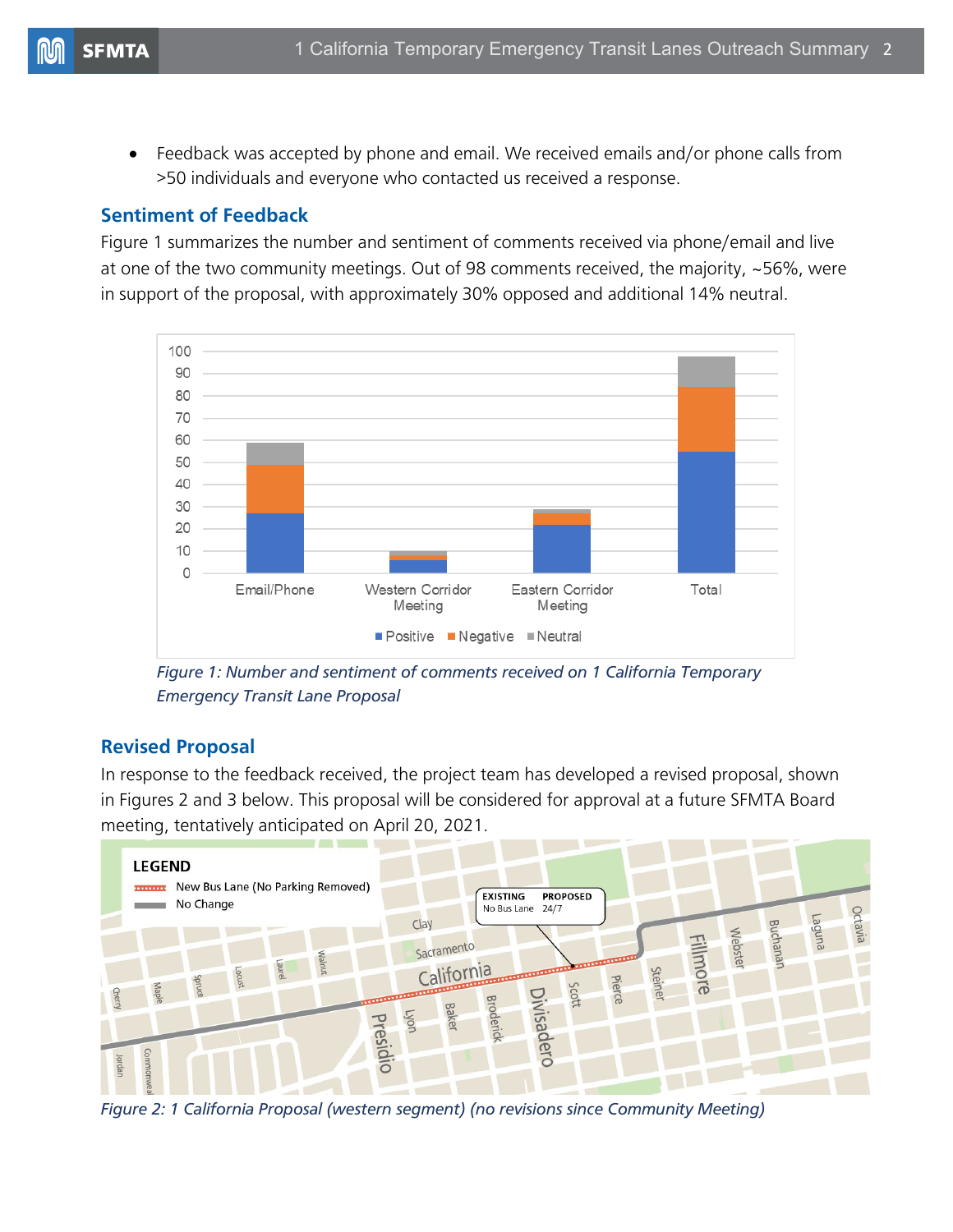• Feedback was accepted by phone and email. We received emails and/or phone calls from >50 individuals and everyone who contacted us received a response.

### **Sentiment of Feedback**

Figure 1 summarizes the number and sentiment of comments received via phone/email and live at one of the two community meetings. Out of 98 comments received, the majority, ~56%, were in support of the proposal, with approximately 30% opposed and additional 14% neutral.



*Figure 1: Number and sentiment of comments received on 1 California Temporary Emergency Transit Lane Proposal*

#### **Revised Proposal**

In response to the feedback received, the project team has developed a revised proposal, shown in Figures 2 and 3 below. This proposal will be considered for approval at a future SFMTA Board meeting, tentatively anticipated on April 20, 2021.



*Figure 2: 1 California Proposal (western segment) (no revisions since Community Meeting)*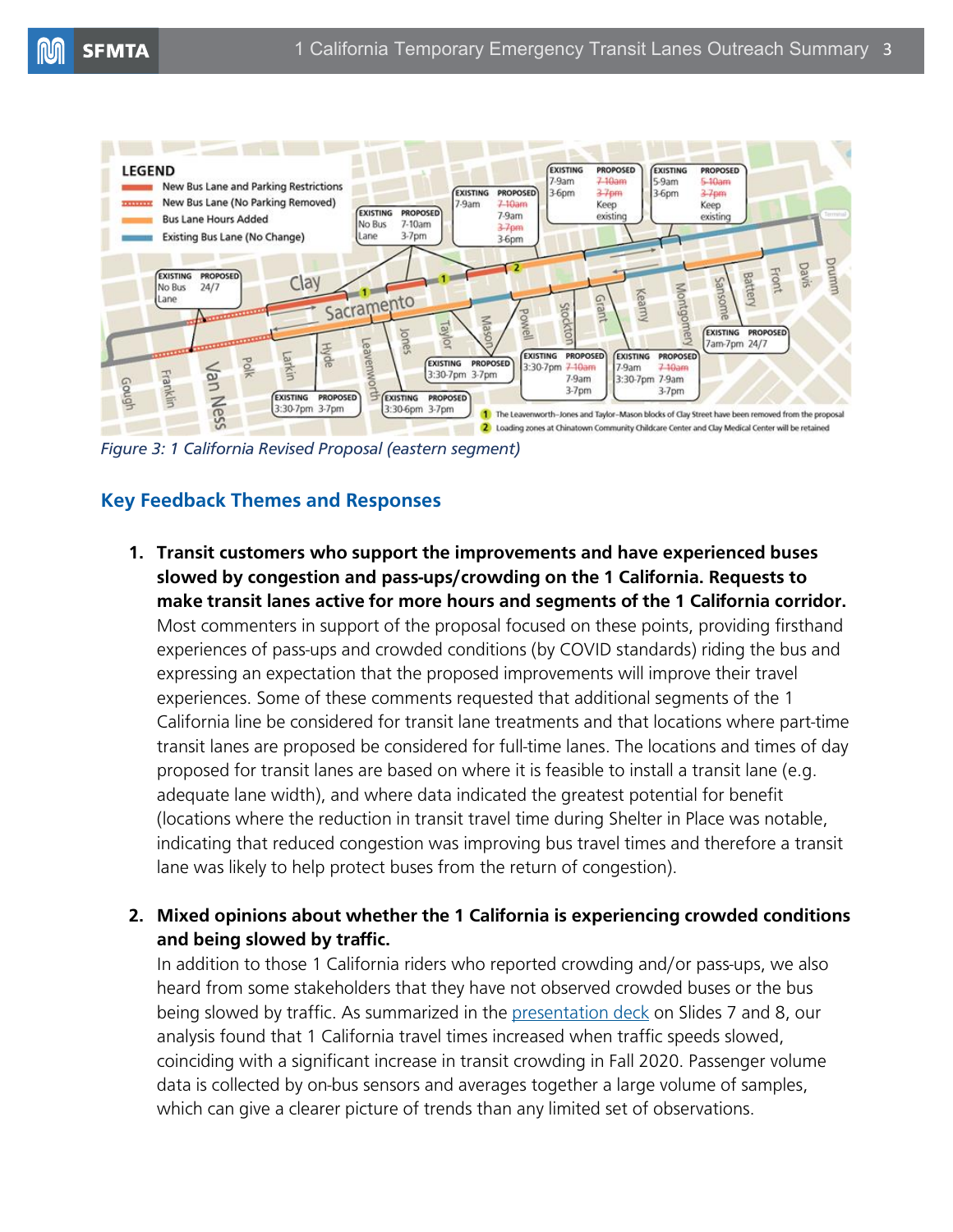

*Figure 3: 1 California Revised Proposal (eastern segment)*

## **Key Feedback Themes and Responses**

- **1. Transit customers who support the improvements and have experienced buses slowed by congestion and pass-ups/crowding on the 1 California. Requests to make transit lanes active for more hours and segments of the 1 California corridor.** Most commenters in support of the proposal focused on these points, providing firsthand experiences of pass-ups and crowded conditions (by COVID standards) riding the bus and expressing an expectation that the proposed improvements will improve their travel experiences. Some of these comments requested that additional segments of the 1 California line be considered for transit lane treatments and that locations where part-time transit lanes are proposed be considered for full-time lanes. The locations and times of day proposed for transit lanes are based on where it is feasible to install a transit lane (e.g. adequate lane width), and where data indicated the greatest potential for benefit (locations where the reduction in transit travel time during Shelter in Place was notable, indicating that reduced congestion was improving bus travel times and therefore a transit lane was likely to help protect buses from the return of congestion).
- **2. Mixed opinions about whether the 1 California is experiencing crowded conditions and being slowed by traffic.**

In addition to those 1 California riders who reported crowding and/or pass-ups, we also heard from some stakeholders that they have not observed crowded buses or the bus being slowed by traffic. As summarized in the [presentation deck](https://www.sfmta.com/sites/default/files/reports-and-documents/2021/02/1tetl_communitymeetingeast_02.24.2021_accessible.pdf) on Slides 7 and 8, our analysis found that 1 California travel times increased when traffic speeds slowed, coinciding with a significant increase in transit crowding in Fall 2020. Passenger volume data is collected by on-bus sensors and averages together a large volume of samples, which can give a clearer picture of trends than any limited set of observations.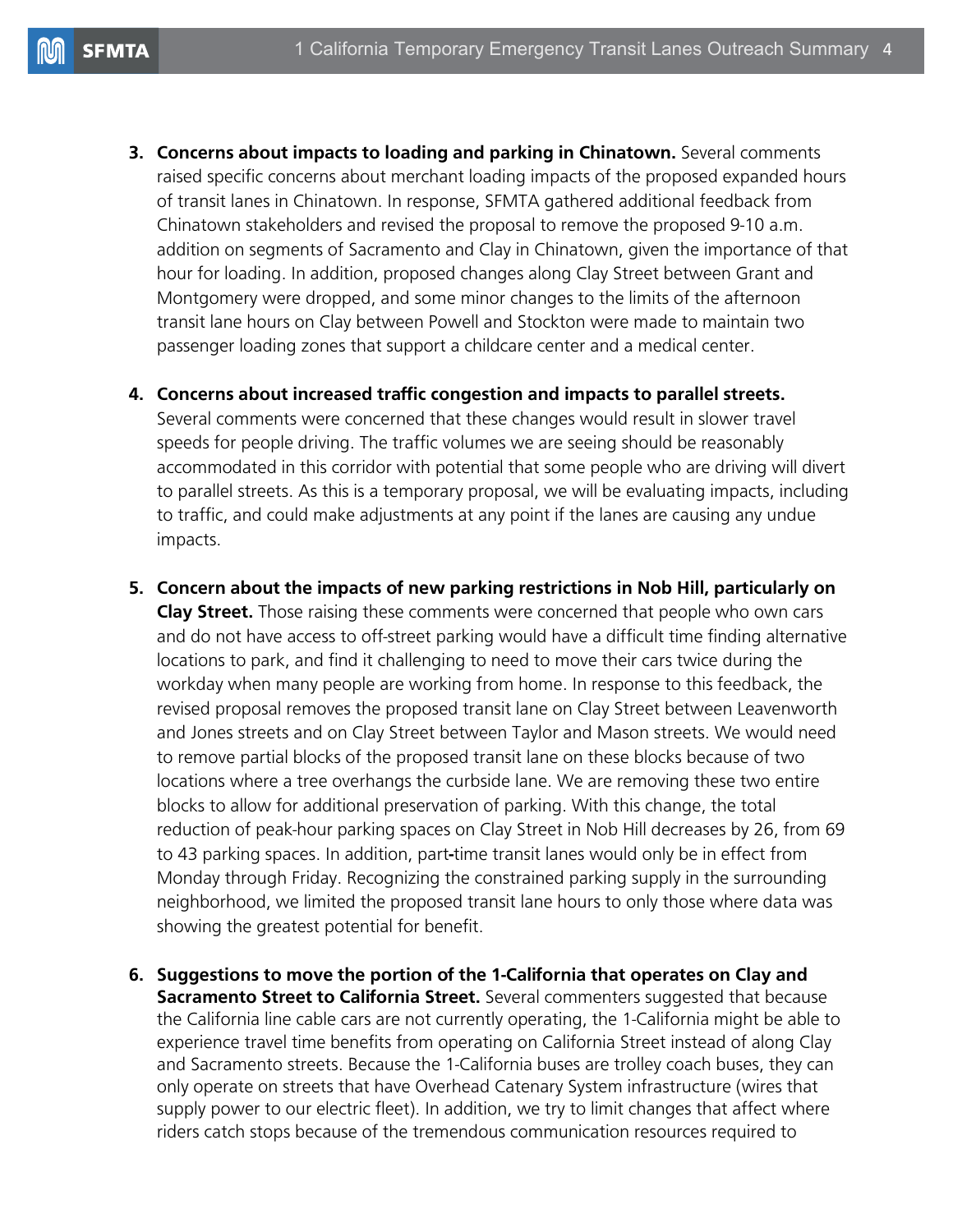**3. Concerns about impacts to loading and parking in Chinatown.** Several comments raised specific concerns about merchant loading impacts of the proposed expanded hours of transit lanes in Chinatown. In response, SFMTA gathered additional feedback from Chinatown stakeholders and revised the proposal to remove the proposed 9-10 a.m. addition on segments of Sacramento and Clay in Chinatown, given the importance of that hour for loading. In addition, proposed changes along Clay Street between Grant and Montgomery were dropped, and some minor changes to the limits of the afternoon transit lane hours on Clay between Powell and Stockton were made to maintain two passenger loading zones that support a childcare center and a medical center.

#### **4. Concerns about increased traffic congestion and impacts to parallel streets.**

Several comments were concerned that these changes would result in slower travel speeds for people driving. The traffic volumes we are seeing should be reasonably accommodated in this corridor with potential that some people who are driving will divert to parallel streets. As this is a temporary proposal, we will be evaluating impacts, including to traffic, and could make adjustments at any point if the lanes are causing any undue impacts.

**5. Concern about the impacts of new parking restrictions in Nob Hill, particularly on Clay Street.** Those raising these comments were concerned that people who own cars and do not have access to off-street parking would have a difficult time finding alternative locations to park, and find it challenging to need to move their cars twice during the workday when many people are working from home. In response to this feedback, the revised proposal removes the proposed transit lane on Clay Street between Leavenworth and Jones streets and on Clay Street between Taylor and Mason streets. We would need to remove partial blocks of the proposed transit lane on these blocks because of two locations where a tree overhangs the curbside lane. We are removing these two entire blocks to allow for additional preservation of parking. With this change, the total reduction of peak-hour parking spaces on Clay Street in Nob Hill decreases by 26, from 69 to 43 parking spaces. In addition, part**-**time transit lanes would only be in effect from Monday through Friday. Recognizing the constrained parking supply in the surrounding neighborhood, we limited the proposed transit lane hours to only those where data was showing the greatest potential for benefit.

**6. Suggestions to move the portion of the 1-California that operates on Clay and Sacramento Street to California Street.** Several commenters suggested that because the California line cable cars are not currently operating, the 1-California might be able to experience travel time benefits from operating on California Street instead of along Clay and Sacramento streets. Because the 1-California buses are trolley coach buses, they can only operate on streets that have Overhead Catenary System infrastructure (wires that supply power to our electric fleet). In addition, we try to limit changes that affect where riders catch stops because of the tremendous communication resources required to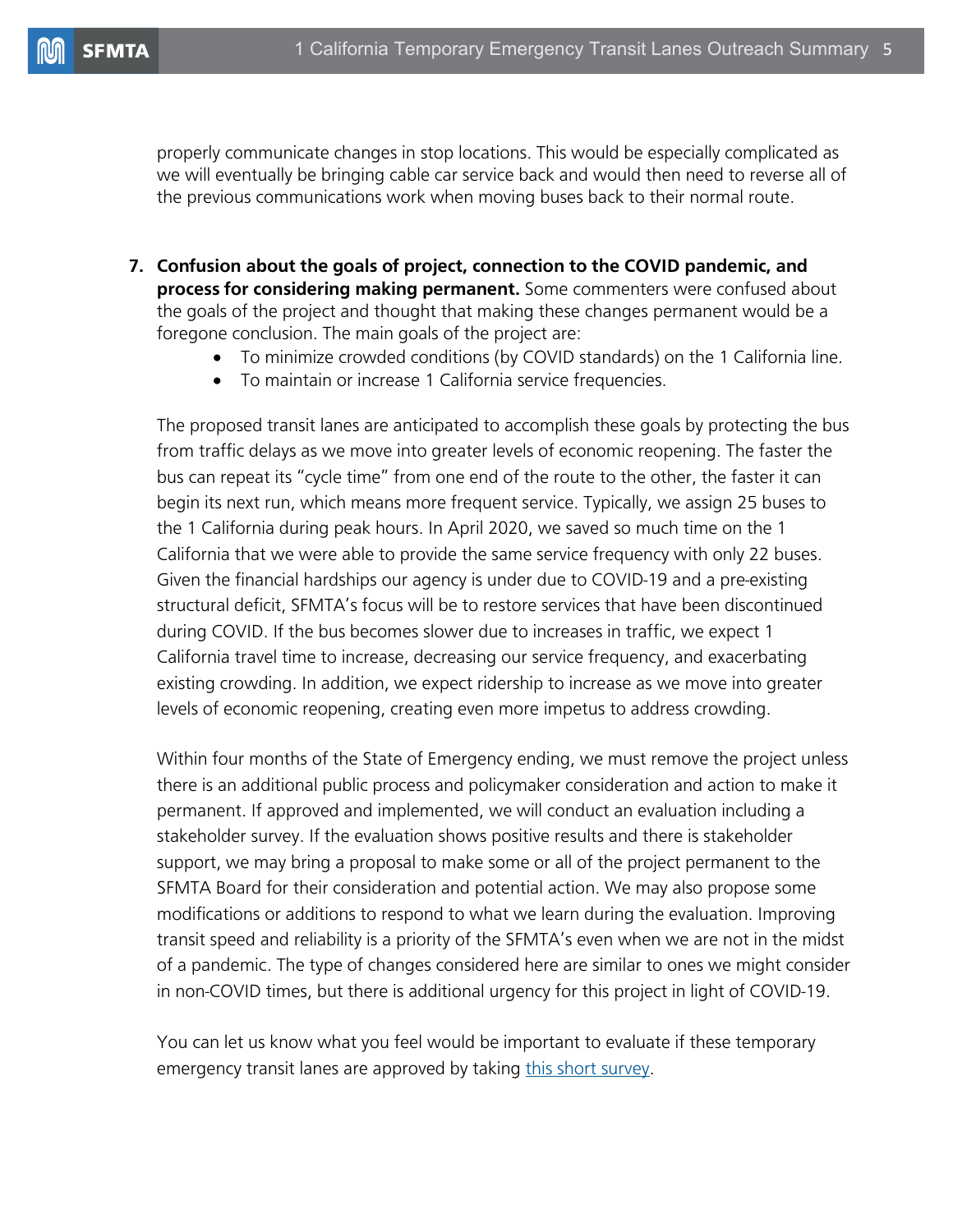properly communicate changes in stop locations. This would be especially complicated as we will eventually be bringing cable car service back and would then need to reverse all of the previous communications work when moving buses back to their normal route.

- **7. Confusion about the goals of project, connection to the COVID pandemic, and process for considering making permanent.** Some commenters were confused about the goals of the project and thought that making these changes permanent would be a foregone conclusion. The main goals of the project are:
	- To minimize crowded conditions (by COVID standards) on the 1 California line.
	- To maintain or increase 1 California service frequencies.

The proposed transit lanes are anticipated to accomplish these goals by protecting the bus from traffic delays as we move into greater levels of economic reopening. The faster the bus can repeat its "cycle time" from one end of the route to the other, the faster it can begin its next run, which means more frequent service. Typically, we assign 25 buses to the 1 California during peak hours. In April 2020, we saved so much time on the 1 California that we were able to provide the same service frequency with only 22 buses. Given the financial hardships our agency is under due to COVID-19 and a pre-existing structural deficit, SFMTA's focus will be to restore services that have been discontinued during COVID. If the bus becomes slower due to increases in traffic, we expect 1 California travel time to increase, decreasing our service frequency, and exacerbating existing crowding. In addition, we expect ridership to increase as we move into greater levels of economic reopening, creating even more impetus to address crowding.

Within four months of the State of Emergency ending, we must remove the project unless there is an additional public process and policymaker consideration and action to make it permanent. If approved and implemented, we will conduct an evaluation including a stakeholder survey. If the evaluation shows positive results and there is stakeholder support, we may bring a proposal to make some or all of the project permanent to the SFMTA Board for their consideration and potential action. We may also propose some modifications or additions to respond to what we learn during the evaluation. Improving transit speed and reliability is a priority of the SFMTA's even when we are not in the midst of a pandemic. The type of changes considered here are similar to ones we might consider in non-COVID times, but there is additional urgency for this project in light of COVID-19.

You can let us know what you feel would be important to evaluate if these temporary emergency transit lanes are approved by taking [this short survey.](https://www.sfmta.com/project-updates/outreach-and-evaluation-criteria-survey-temporary-emergency-transit-and-hov-lanes)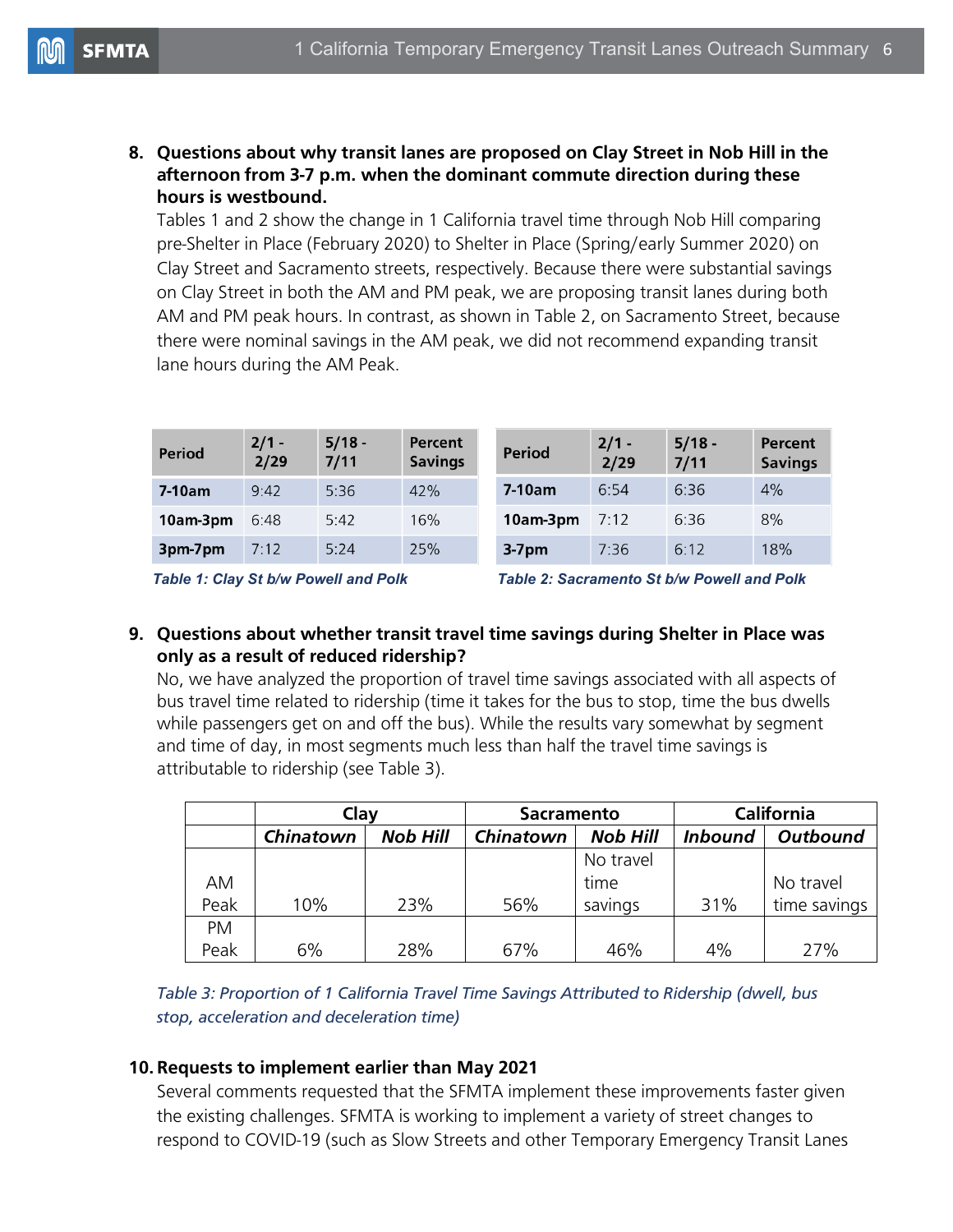**8. Questions about why transit lanes are proposed on Clay Street in Nob Hill in the afternoon from 3-7 p.m. when the dominant commute direction during these hours is westbound.**

Tables 1 and 2 show the change in 1 California travel time through Nob Hill comparing pre-Shelter in Place (February 2020) to Shelter in Place (Spring/early Summer 2020) on Clay Street and Sacramento streets, respectively. Because there were substantial savings on Clay Street in both the AM and PM peak, we are proposing transit lanes during both AM and PM peak hours. In contrast, as shown in Table 2, on Sacramento Street, because there were nominal savings in the AM peak, we did not recommend expanding transit lane hours during the AM Peak.

| <b>Period</b> | $2/1 -$<br>2/29 | $5/18 -$<br>7/11 | Percent<br><b>Savings</b> | <b>Period</b> | $2/1 -$<br>2/29 | $5/18 -$<br>7/11 | <b>Percent</b><br><b>Savings</b> |
|---------------|-----------------|------------------|---------------------------|---------------|-----------------|------------------|----------------------------------|
| $7-10am$      | 9:42            | 5:36             | 42%                       | 7-10am        | 6:54            | 6:36             | 4%                               |
| 10am-3pm      | 6:48            | 5:42             | 16%                       | 10am-3pm      | 7:12            | 6:36             | 8%                               |
| 3pm-7pm       | 7:12            | 5:24             | 25%                       | $3-7$ pm      | 7:36            | 6:12             | 18%                              |

*Table 1: Clay St b/w Powell and Polk Table 2: Sacramento St b/w Powell and Polk*

#### **9. Questions about whether transit travel time savings during Shelter in Place was only as a result of reduced ridership?**

No, we have analyzed the proportion of travel time savings associated with all aspects of bus travel time related to ridership (time it takes for the bus to stop, time the bus dwells while passengers get on and off the bus). While the results vary somewhat by segment and time of day, in most segments much less than half the travel time savings is attributable to ridership (see Table 3).

|           | Clay      |                 | <b>Sacramento</b> |                 | <b>California</b> |                 |
|-----------|-----------|-----------------|-------------------|-----------------|-------------------|-----------------|
|           | Chinatown | <b>Nob Hill</b> | Chinatown         | <b>Nob Hill</b> | <b>Inbound</b>    | <b>Outbound</b> |
|           |           |                 |                   | No travel       |                   |                 |
| AM        |           |                 |                   | time            |                   | No travel       |
| Peak      | 10%       | 23%             | 56%               | savings         | 31%               | time savings    |
| <b>PM</b> |           |                 |                   |                 |                   |                 |
| Peak      | 6%        | 28%             | 67%               | 46%             | 4%                | 27%             |

*Table 3: Proportion of 1 California Travel Time Savings Attributed to Ridership (dwell, bus stop, acceleration and deceleration time)*

#### **10. Requests to implement earlier than May 2021**

Several comments requested that the SFMTA implement these improvements faster given the existing challenges. SFMTA is working to implement a variety of street changes to respond to COVID-19 (such as Slow Streets and other Temporary Emergency Transit Lanes